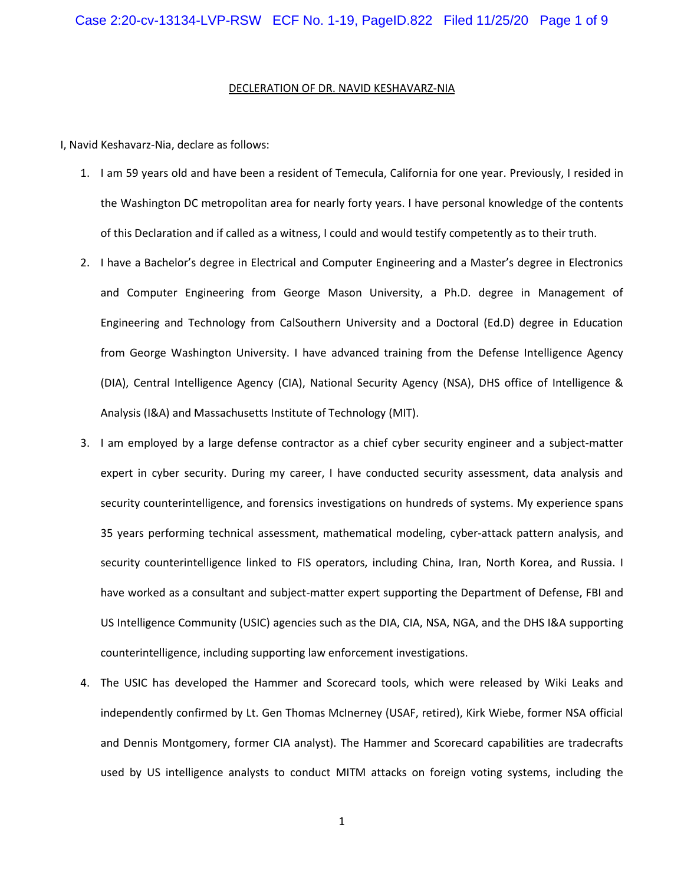## DECLERATION OF DR. NAVID KESHAVARZ-NIA

I, Navid Keshavarz-Nia, declare as follows:

- 1. I am 59 years old and have been a resident of Temecula, California for one year. Previously, I resided in the Washington DC metropolitan area for nearly forty years. I have personal knowledge of the contents of this Declaration and if called as a witness, I could and would testify competently as to their truth.
- 2. I have a Bachelor's degree in Electrical and Computer Engineering and a Master's degree in Electronics and Computer Engineering from George Mason University, a Ph.D. degree in Management of Engineering and Technology from CalSouthern University and a Doctoral (Ed.D) degree in Education from George Washington University. I have advanced training from the Defense Intelligence Agency (DIA), Central Intelligence Agency (CIA), National Security Agency (NSA), DHS office of Intelligence & Analysis (I&A) and Massachusetts Institute of Technology (MIT).
- 3. I am employed by a large defense contractor as a chief cyber security engineer and a subject-matter expert in cyber security. During my career, I have conducted security assessment, data analysis and security counterintelligence, and forensics investigations on hundreds of systems. My experience spans 35 years performing technical assessment, mathematical modeling, cyber-attack pattern analysis, and security counterintelligence linked to FIS operators, including China, Iran, North Korea, and Russia. I have worked as a consultant and subject-matter expert supporting the Department of Defense, FBI and US Intelligence Community (USIC) agencies such as the DIA, CIA, NSA, NGA, and the DHS I&A supporting counterintelligence, including supporting law enforcement investigations.
- 4. The USIC has developed the Hammer and Scorecard tools, which were released by Wiki Leaks and independently confirmed by Lt. Gen Thomas McInerney (USAF, retired), Kirk Wiebe, former NSA official and Dennis Montgomery, former CIA analyst). The Hammer and Scorecard capabilities are tradecrafts used by US intelligence analysts to conduct MITM attacks on foreign voting systems, including the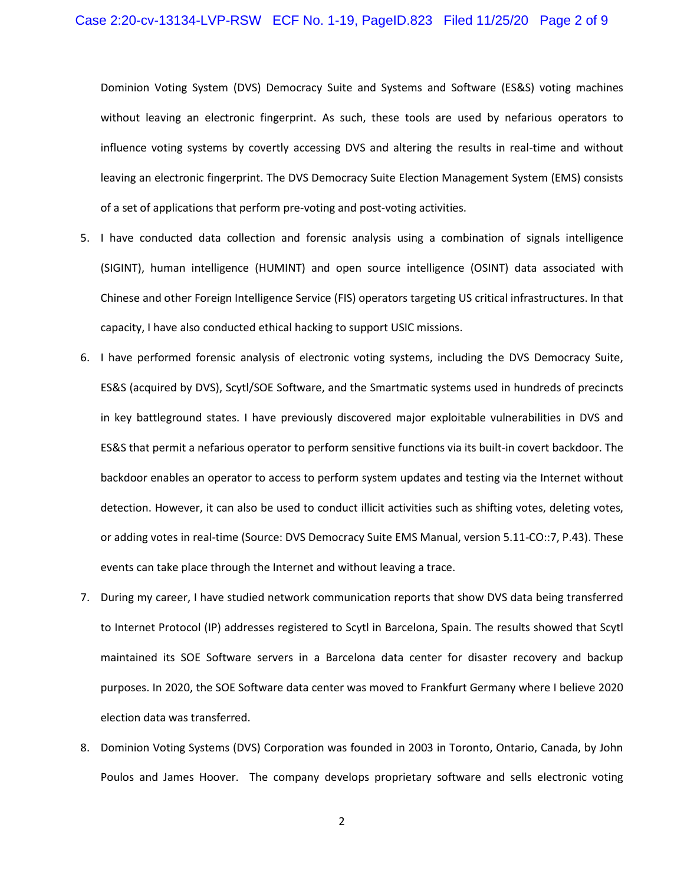Dominion Voting System (DVS) Democracy Suite and Systems and Software (ES&S) voting machines without leaving an electronic fingerprint. As such, these tools are used by nefarious operators to influence voting systems by covertly accessing DVS and altering the results in real-time and without leaving an electronic fingerprint. The DVS Democracy Suite Election Management System (EMS) consists of a set of applications that perform pre-voting and post-voting activities.

- 5. I have conducted data collection and forensic analysis using a combination of signals intelligence (SIGINT), human intelligence (HUMINT) and open source intelligence (OSINT) data associated with Chinese and other Foreign Intelligence Service (FIS) operators targeting US critical infrastructures. In that capacity, I have also conducted ethical hacking to support USIC missions.
- 6. I have performed forensic analysis of electronic voting systems, including the DVS Democracy Suite, ES&S (acquired by DVS), Scytl/SOE Software, and the Smartmatic systems used in hundreds of precincts in key battleground states. I have previously discovered major exploitable vulnerabilities in DVS and ES&S that permit a nefarious operator to perform sensitive functions via its built-in covert backdoor. The backdoor enables an operator to access to perform system updates and testing via the Internet without detection. However, it can also be used to conduct illicit activities such as shifting votes, deleting votes, or adding votes in real-time (Source: DVS Democracy Suite EMS Manual, version 5.11-CO::7, P.43). These events can take place through the Internet and without leaving a trace.
- 7. During my career, I have studied network communication reports that show DVS data being transferred to Internet Protocol (IP) addresses registered to Scytl in Barcelona, Spain. The results showed that Scytl maintained its SOE Software servers in a Barcelona data center for disaster recovery and backup purposes. In 2020, the SOE Software data center was moved to Frankfurt Germany where I believe 2020 election data was transferred.
- 8. Dominion Voting Systems (DVS) Corporation was founded in 2003 in Toronto, Ontario, Canada, by John Poulos and James Hoover. The company develops proprietary software and sells electronic voting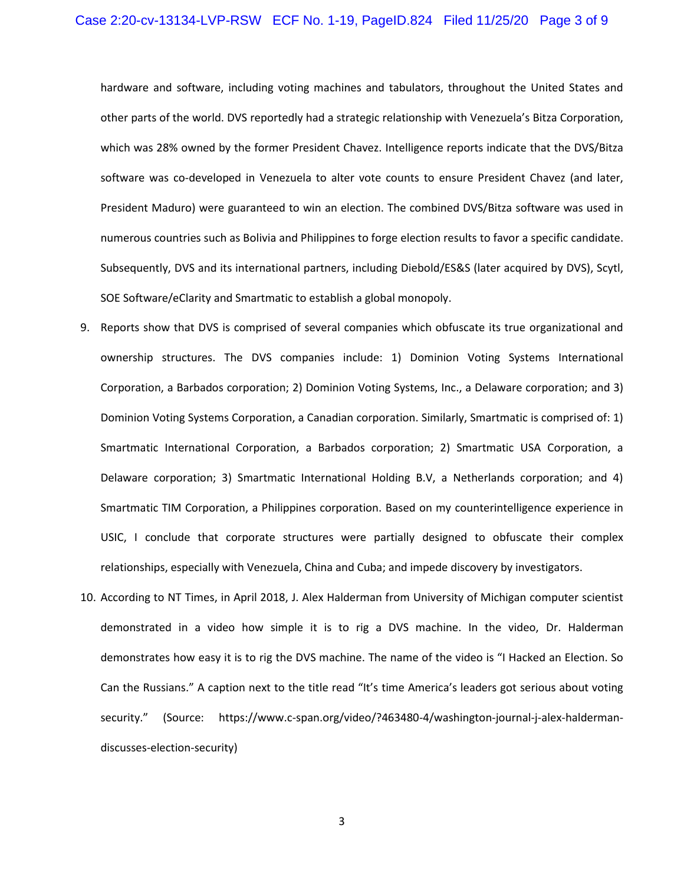## Case 2:20-cv-13134-LVP-RSW ECF No. 1-19, PageID.824 Filed 11/25/20 Page 3 of 9

hardware and software, including voting machines and tabulators, throughout the United States and other parts of the world. DVS reportedly had a strategic relationship with Venezuela's Bitza Corporation, which was 28% owned by the former President Chavez. Intelligence reports indicate that the DVS/Bitza software was co-developed in Venezuela to alter vote counts to ensure President Chavez (and later, President Maduro) were guaranteed to win an election. The combined DVS/Bitza software was used in numerous countries such as Bolivia and Philippines to forge election results to favor a specific candidate. Subsequently, DVS and its international partners, including Diebold/ES&S (later acquired by DVS), Scytl, SOE Software/eClarity and Smartmatic to establish a global monopoly.

- 9. Reports show that DVS is comprised of several companies which obfuscate its true organizational and ownership structures. The DVS companies include: 1) Dominion Voting Systems International Corporation, a Barbados corporation; 2) Dominion Voting Systems, Inc., a Delaware corporation; and 3) Dominion Voting Systems Corporation, a Canadian corporation. Similarly, Smartmatic is comprised of: 1) Smartmatic International Corporation, a Barbados corporation; 2) Smartmatic USA Corporation, a Delaware corporation; 3) Smartmatic International Holding B.V, a Netherlands corporation; and 4) Smartmatic TIM Corporation, a Philippines corporation. Based on my counterintelligence experience in USIC, I conclude that corporate structures were partially designed to obfuscate their complex relationships, especially with Venezuela, China and Cuba; and impede discovery by investigators.
- 10. According to NT Times, in April 2018, J. Alex Halderman from University of Michigan computer scientist demonstrated in a video how simple it is to rig a DVS machine. In the video, Dr. Halderman demonstrates how easy it is to rig the DVS machine. The name of the video is "I Hacked an Election. So Can the Russians." A caption next to the title read "It's time America's leaders got serious about voting security." (Source: https://www.c-span.org/video/?463480-4/washington-journal-j-alex-haldermandiscusses-election-security)

3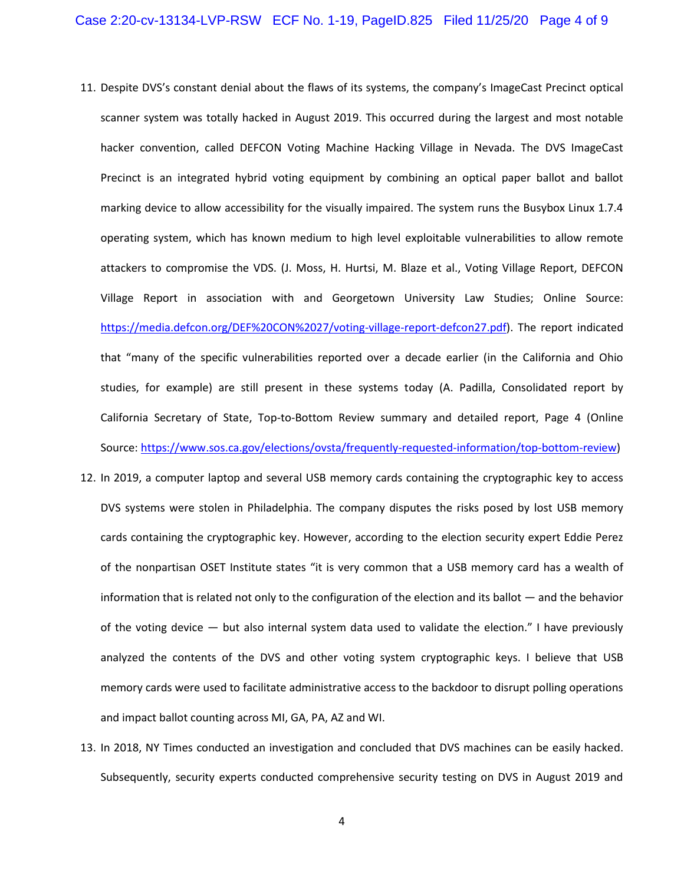- 11. Despite DVS's constant denial about the flaws of its systems, the company's ImageCast Precinct optical scanner system was totally hacked in August 2019. This occurred during the largest and most notable hacker convention, called DEFCON Voting Machine Hacking Village in Nevada. The DVS ImageCast Precinct is an integrated hybrid voting equipment by combining an optical paper ballot and ballot marking device to allow accessibility for the visually impaired. The system runs the Busybox Linux 1.7.4 operating system, which has known medium to high level exploitable vulnerabilities to allow remote attackers to compromise the VDS. (J. Moss, H. Hurtsi, M. Blaze et al., Voting Village Report, DEFCON Village Report in association with and Georgetown University Law Studies; Online Source: https://media.defcon.org/DEF%20CON%2027/voting-village-report-defcon27.pdf). The report indicated that "many of the specific vulnerabilities reported over a decade earlier (in the California and Ohio studies, for example) are still present in these systems today (A. Padilla, Consolidated report by California Secretary of State, Top-to-Bottom Review summary and detailed report, Page 4 (Online Source: https://www.sos.ca.gov/elections/ovsta/frequently-requested-information/top-bottom-review)
- 12. In 2019, a computer laptop and several USB memory cards containing the cryptographic key to access DVS systems were stolen in Philadelphia. The company disputes the risks posed by lost USB memory cards containing the cryptographic key. However, according to the election security expert Eddie Perez of the nonpartisan OSET Institute states "it is very common that a USB memory card has a wealth of information that is related not only to the configuration of the election and its ballot — and the behavior of the voting device — but also internal system data used to validate the election." I have previously analyzed the contents of the DVS and other voting system cryptographic keys. I believe that USB memory cards were used to facilitate administrative access to the backdoor to disrupt polling operations and impact ballot counting across MI, GA, PA, AZ and WI.
- 13. In 2018, NY Times conducted an investigation and concluded that DVS machines can be easily hacked. Subsequently, security experts conducted comprehensive security testing on DVS in August 2019 and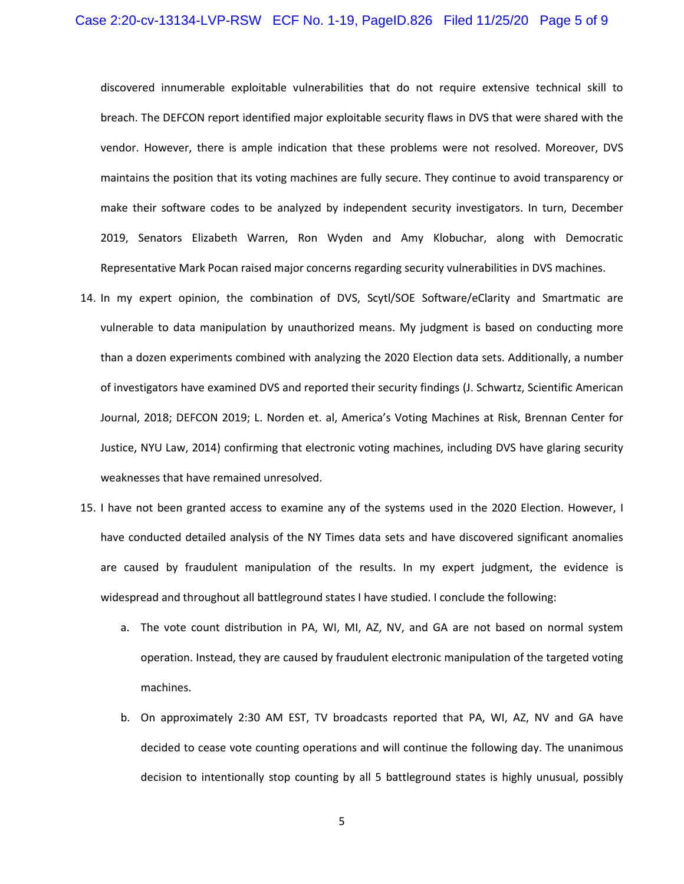## Case 2:20-cv-13134-LVP-RSW ECF No. 1-19, PageID.826 Filed 11/25/20 Page 5 of 9

discovered innumerable exploitable vulnerabilities that do not require extensive technical skill to breach. The DEFCON report identified major exploitable security flaws in DVS that were shared with the vendor. However, there is ample indication that these problems were not resolved. Moreover, DVS maintains the position that its voting machines are fully secure. They continue to avoid transparency or make their software codes to be analyzed by independent security investigators. In turn, December 2019, Senators Elizabeth Warren, Ron Wyden and Amy Klobuchar, along with Democratic Representative Mark Pocan raised major concerns regarding security vulnerabilities in DVS machines.

- 14. In my expert opinion, the combination of DVS, Scytl/SOE Software/eClarity and Smartmatic are vulnerable to data manipulation by unauthorized means. My judgment is based on conducting more than a dozen experiments combined with analyzing the 2020 Election data sets. Additionally, a number of investigators have examined DVS and reported their security findings (J. Schwartz, Scientific American Journal, 2018; DEFCON 2019; L. Norden et. al, America's Voting Machines at Risk, Brennan Center for Justice, NYU Law, 2014) confirming that electronic voting machines, including DVS have glaring security weaknesses that have remained unresolved.
- 15. I have not been granted access to examine any of the systems used in the 2020 Election. However, I have conducted detailed analysis of the NY Times data sets and have discovered significant anomalies are caused by fraudulent manipulation of the results. In my expert judgment, the evidence is widespread and throughout all battleground states I have studied. I conclude the following:
	- a. The vote count distribution in PA, WI, MI, AZ, NV, and GA are not based on normal system operation. Instead, they are caused by fraudulent electronic manipulation of the targeted voting machines.
	- b. On approximately 2:30 AM EST, TV broadcasts reported that PA, WI, AZ, NV and GA have decided to cease vote counting operations and will continue the following day. The unanimous decision to intentionally stop counting by all 5 battleground states is highly unusual, possibly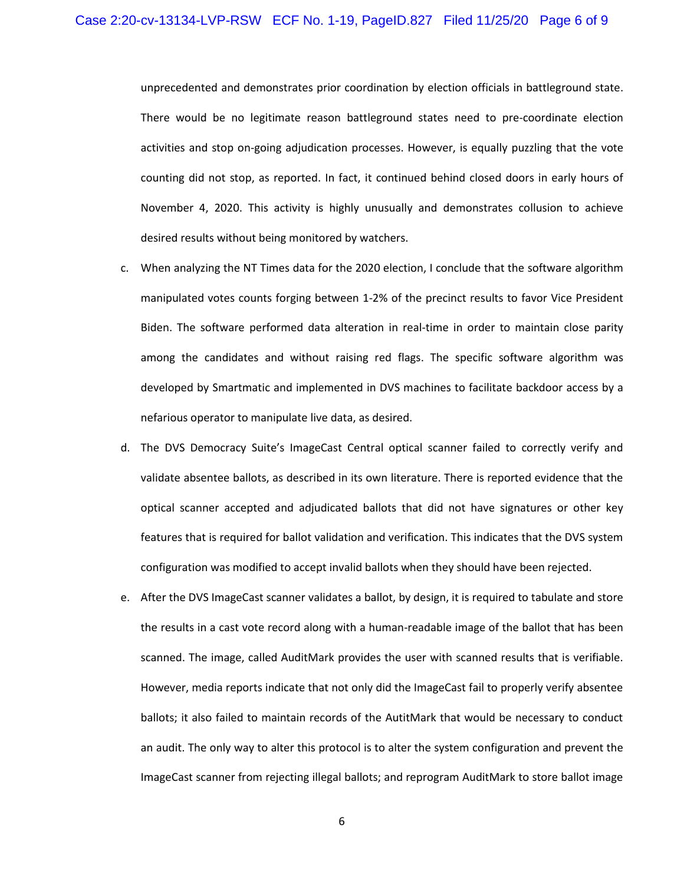unprecedented and demonstrates prior coordination by election officials in battleground state. There would be no legitimate reason battleground states need to pre-coordinate election activities and stop on-going adjudication processes. However, is equally puzzling that the vote counting did not stop, as reported. In fact, it continued behind closed doors in early hours of November 4, 2020. This activity is highly unusually and demonstrates collusion to achieve desired results without being monitored by watchers.

- c. When analyzing the NT Times data for the 2020 election, I conclude that the software algorithm manipulated votes counts forging between 1-2% of the precinct results to favor Vice President Biden. The software performed data alteration in real-time in order to maintain close parity among the candidates and without raising red flags. The specific software algorithm was developed by Smartmatic and implemented in DVS machines to facilitate backdoor access by a nefarious operator to manipulate live data, as desired.
- d. The DVS Democracy Suite's ImageCast Central optical scanner failed to correctly verify and validate absentee ballots, as described in its own literature. There is reported evidence that the optical scanner accepted and adjudicated ballots that did not have signatures or other key features that is required for ballot validation and verification. This indicates that the DVS system configuration was modified to accept invalid ballots when they should have been rejected.
- e. After the DVS ImageCast scanner validates a ballot, by design, it is required to tabulate and store the results in a cast vote record along with a human-readable image of the ballot that has been scanned. The image, called AuditMark provides the user with scanned results that is verifiable. However, media reports indicate that not only did the ImageCast fail to properly verify absentee ballots; it also failed to maintain records of the AutitMark that would be necessary to conduct an audit. The only way to alter this protocol is to alter the system configuration and prevent the ImageCast scanner from rejecting illegal ballots; and reprogram AuditMark to store ballot image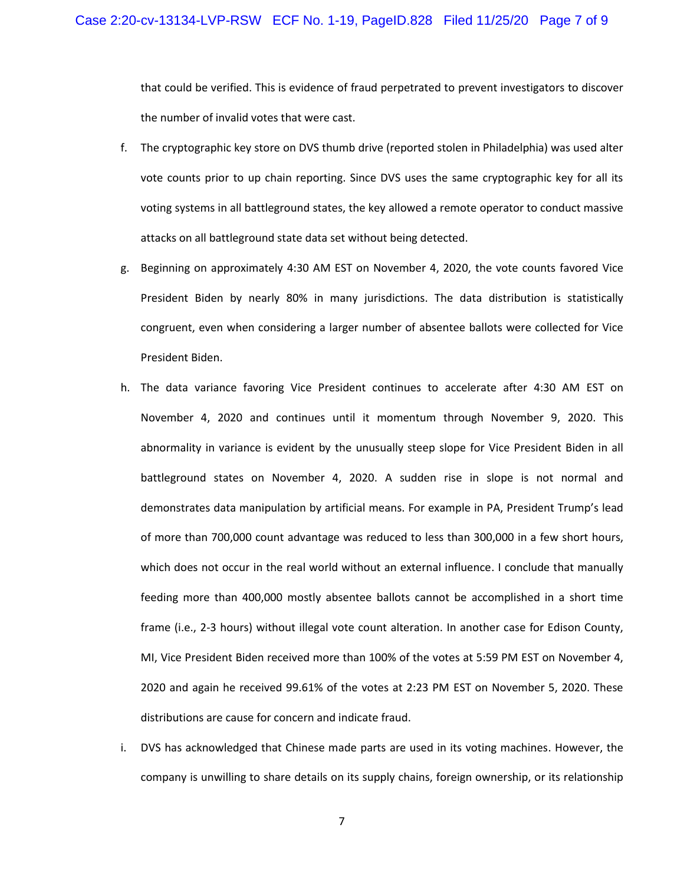that could be verified. This is evidence of fraud perpetrated to prevent investigators to discover the number of invalid votes that were cast.

- f. The cryptographic key store on DVS thumb drive (reported stolen in Philadelphia) was used alter vote counts prior to up chain reporting. Since DVS uses the same cryptographic key for all its voting systems in all battleground states, the key allowed a remote operator to conduct massive attacks on all battleground state data set without being detected.
- g. Beginning on approximately 4:30 AM EST on November 4, 2020, the vote counts favored Vice President Biden by nearly 80% in many jurisdictions. The data distribution is statistically congruent, even when considering a larger number of absentee ballots were collected for Vice President Biden.
- h. The data variance favoring Vice President continues to accelerate after 4:30 AM EST on November 4, 2020 and continues until it momentum through November 9, 2020. This abnormality in variance is evident by the unusually steep slope for Vice President Biden in all battleground states on November 4, 2020. A sudden rise in slope is not normal and demonstrates data manipulation by artificial means. For example in PA, President Trump's lead of more than 700,000 count advantage was reduced to less than 300,000 in a few short hours, which does not occur in the real world without an external influence. I conclude that manually feeding more than 400,000 mostly absentee ballots cannot be accomplished in a short time frame (i.e., 2-3 hours) without illegal vote count alteration. In another case for Edison County, MI, Vice President Biden received more than 100% of the votes at 5:59 PM EST on November 4, 2020 and again he received 99.61% of the votes at 2:23 PM EST on November 5, 2020. These distributions are cause for concern and indicate fraud.
- i. DVS has acknowledged that Chinese made parts are used in its voting machines. However, the company is unwilling to share details on its supply chains, foreign ownership, or its relationship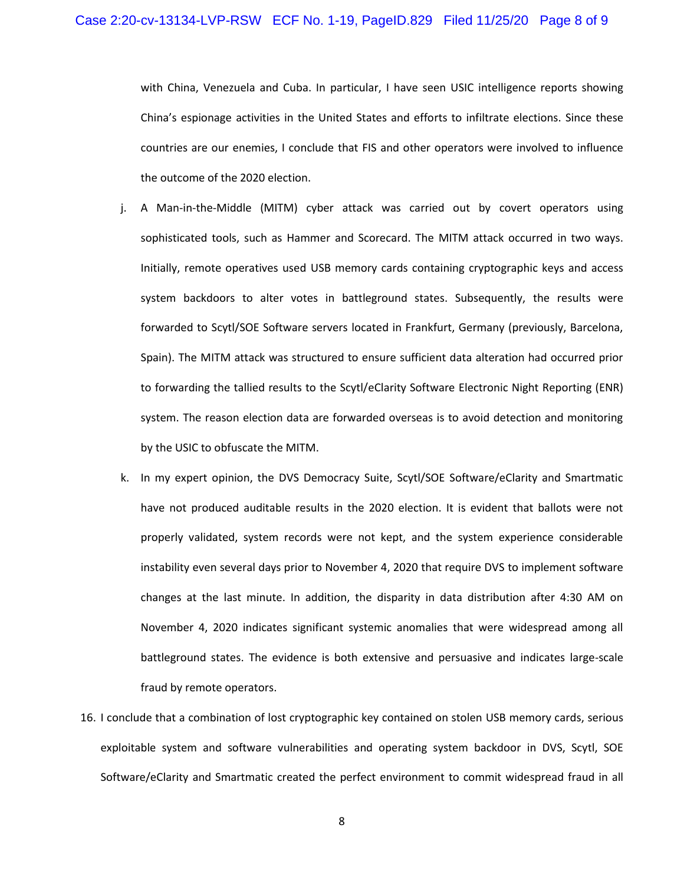with China, Venezuela and Cuba. In particular, I have seen USIC intelligence reports showing China's espionage activities in the United States and efforts to infiltrate elections. Since these countries are our enemies, I conclude that FIS and other operators were involved to influence the outcome of the 2020 election.

- j. A Man-in-the-Middle (MITM) cyber attack was carried out by covert operators using sophisticated tools, such as Hammer and Scorecard. The MITM attack occurred in two ways. Initially, remote operatives used USB memory cards containing cryptographic keys and access system backdoors to alter votes in battleground states. Subsequently, the results were forwarded to Scytl/SOE Software servers located in Frankfurt, Germany (previously, Barcelona, Spain). The MITM attack was structured to ensure sufficient data alteration had occurred prior to forwarding the tallied results to the Scytl/eClarity Software Electronic Night Reporting (ENR) system. The reason election data are forwarded overseas is to avoid detection and monitoring by the USIC to obfuscate the MITM.
- k. In my expert opinion, the DVS Democracy Suite, Scytl/SOE Software/eClarity and Smartmatic have not produced auditable results in the 2020 election. It is evident that ballots were not properly validated, system records were not kept, and the system experience considerable instability even several days prior to November 4, 2020 that require DVS to implement software changes at the last minute. In addition, the disparity in data distribution after 4:30 AM on November 4, 2020 indicates significant systemic anomalies that were widespread among all battleground states. The evidence is both extensive and persuasive and indicates large-scale fraud by remote operators.
- 16. I conclude that a combination of lost cryptographic key contained on stolen USB memory cards, serious exploitable system and software vulnerabilities and operating system backdoor in DVS, Scytl, SOE Software/eClarity and Smartmatic created the perfect environment to commit widespread fraud in all